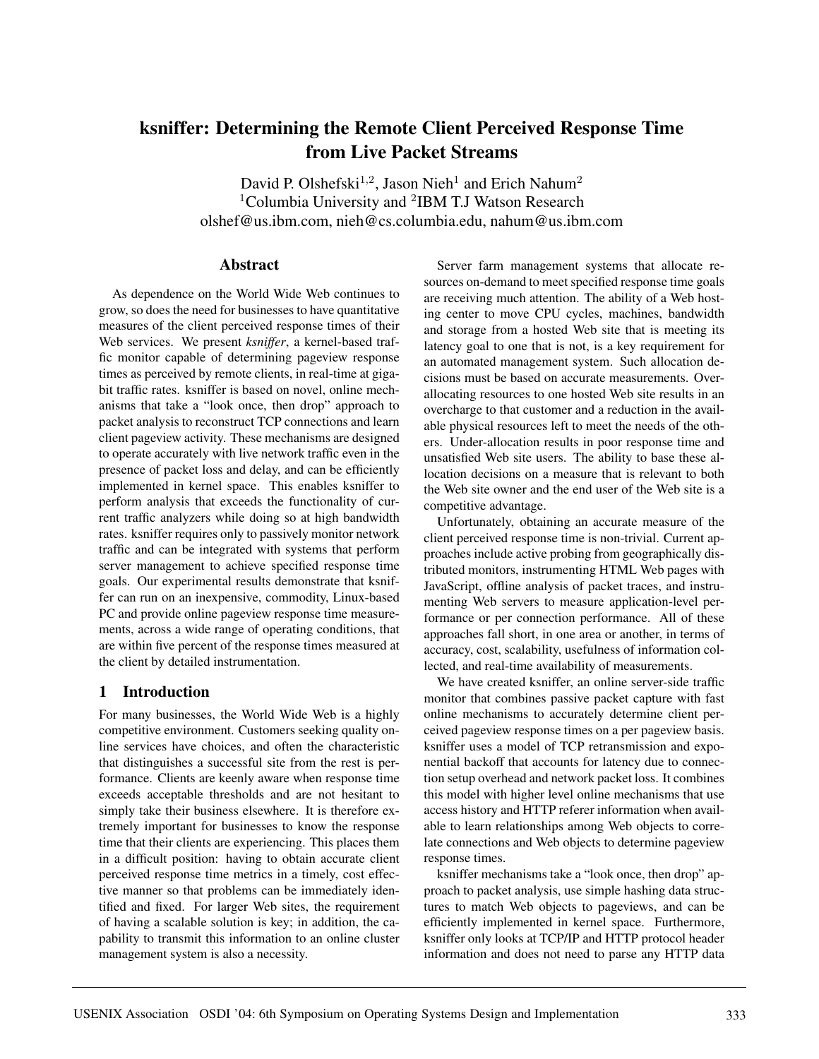# **ksniffer: Determining the Remote Client Perceived Response Time from Live Packet Streams**

David P. Olshefski<sup>1,2</sup>, Jason Nieh<sup>1</sup> and Erich Nahum<sup>2</sup> <sup>1</sup>Columbia University and <sup>2</sup>IBM T.J Watson Research olshef@us.ibm.com, nieh@cs.columbia.edu, nahum@us.ibm.com

## **Abstract**

As dependence on the World Wide Web continues to grow, so does the need for businesses to have quantitative measures of the client perceived response times of their Web services. We present *ksniffer*, a kernel-based traffic monitor capable of determining pageview response times as perceived by remote clients, in real-time at gigabit traffic rates. ksniffer is based on novel, online mechanisms that take a "look once, then drop" approach to packet analysis to reconstruct TCP connections and learn client pageview activity. These mechanisms are designed to operate accurately with live network traffic even in the presence of packet loss and delay, and can be efficiently implemented in kernel space. This enables ksniffer to perform analysis that exceeds the functionality of current traffic analyzers while doing so at high bandwidth rates. ksniffer requires only to passively monitor network traffic and can be integrated with systems that perform server management to achieve specified response time goals. Our experimental results demonstrate that ksniffer can run on an inexpensive, commodity, Linux-based PC and provide online pageview response time measurements, across a wide range of operating conditions, that are within five percent of the response times measured at the client by detailed instrumentation.

# **1 Introduction**

For many businesses, the World Wide Web is a highly competitive environment. Customers seeking quality online services have choices, and often the characteristic that distinguishes a successful site from the rest is performance. Clients are keenly aware when response time exceeds acceptable thresholds and are not hesitant to simply take their business elsewhere. It is therefore extremely important for businesses to know the response time that their clients are experiencing. This places them in a difficult position: having to obtain accurate client perceived response time metrics in a timely, cost effective manner so that problems can be immediately identified and fixed. For larger Web sites, the requirement of having a scalable solution is key; in addition, the capability to transmit this information to an online cluster management system is also a necessity.

Server farm management systems that allocate resources on-demand to meet specified response time goals are receiving much attention. The ability of a Web hosting center to move CPU cycles, machines, bandwidth and storage from a hosted Web site that is meeting its latency goal to one that is not, is a key requirement for an automated management system. Such allocation decisions must be based on accurate measurements. Overallocating resources to one hosted Web site results in an overcharge to that customer and a reduction in the available physical resources left to meet the needs of the others. Under-allocation results in poor response time and unsatisfied Web site users. The ability to base these allocation decisions on a measure that is relevant to both the Web site owner and the end user of the Web site is a competitive advantage.

Unfortunately, obtaining an accurate measure of the client perceived response time is non-trivial. Current approaches include active probing from geographically distributed monitors, instrumenting HTML Web pages with JavaScript, offline analysis of packet traces, and instrumenting Web servers to measure application-level performance or per connection performance. All of these approaches fall short, in one area or another, in terms of accuracy, cost, scalability, usefulness of information collected, and real-time availability of measurements.

We have created ksniffer, an online server-side traffic monitor that combines passive packet capture with fast online mechanisms to accurately determine client perceived pageview response times on a per pageview basis. ksniffer uses a model of TCP retransmission and exponential backoff that accounts for latency due to connection setup overhead and network packet loss. It combines this model with higher level online mechanisms that use access history and HTTP referer information when available to learn relationships among Web objects to correlate connections and Web objects to determine pageview response times.

ksniffer mechanisms take a "look once, then drop" approach to packet analysis, use simple hashing data structures to match Web objects to pageviews, and can be efficiently implemented in kernel space. Furthermore, ksniffer only looks at TCP/IP and HTTP protocol header information and does not need to parse any HTTP data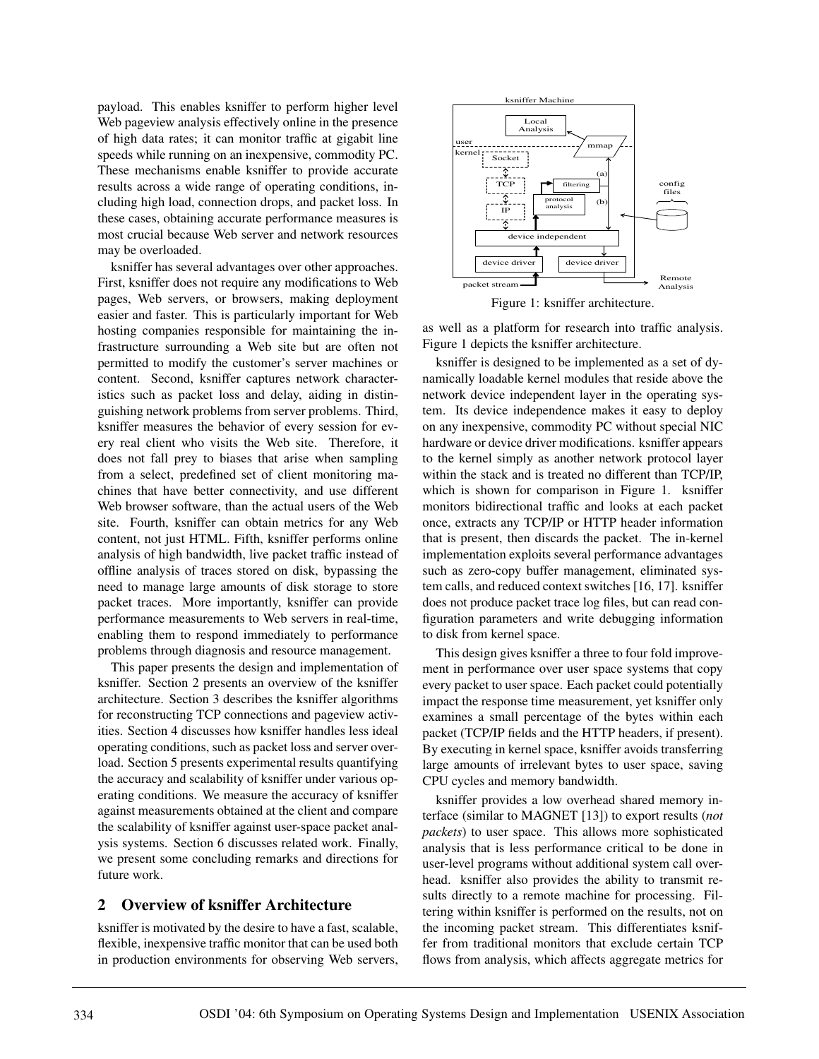payload. This enables ksniffer to perform higher level Web pageview analysis effectively online in the presence of high data rates; it can monitor traffic at gigabit line speeds while running on an inexpensive, commodity PC. These mechanisms enable ksniffer to provide accurate results across a wide range of operating conditions, including high load, connection drops, and packet loss. In these cases, obtaining accurate performance measures is most crucial because Web server and network resources may be overloaded.

ksniffer has several advantages over other approaches. First, ksniffer does not require any modifications to Web pages, Web servers, or browsers, making deployment easier and faster. This is particularly important for Web hosting companies responsible for maintaining the infrastructure surrounding a Web site but are often not permitted to modify the customer's server machines or content. Second, ksniffer captures network characteristics such as packet loss and delay, aiding in distinguishing network problems from server problems. Third, ksniffer measures the behavior of every session for every real client who visits the Web site. Therefore, it does not fall prey to biases that arise when sampling from a select, predefined set of client monitoring machines that have better connectivity, and use different Web browser software, than the actual users of the Web site. Fourth, ksniffer can obtain metrics for any Web content, not just HTML. Fifth, ksniffer performs online analysis of high bandwidth, live packet traffic instead of offline analysis of traces stored on disk, bypassing the need to manage large amounts of disk storage to store packet traces. More importantly, ksniffer can provide performance measurements to Web servers in real-time, enabling them to respond immediately to performance problems through diagnosis and resource management.

This paper presents the design and implementation of ksniffer. Section 2 presents an overview of the ksniffer architecture. Section 3 describes the ksniffer algorithms for reconstructing TCP connections and pageview activities. Section 4 discusses how ksniffer handles less ideal operating conditions, such as packet loss and server overload. Section 5 presents experimental results quantifying the accuracy and scalability of ksniffer under various operating conditions. We measure the accuracy of ksniffer against measurements obtained at the client and compare the scalability of ksniffer against user-space packet analysis systems. Section 6 discusses related work. Finally, we present some concluding remarks and directions for future work.

#### **2 Overview of ksniffer Architecture**

ksniffer is motivated by the desire to have a fast, scalable, flexible, inexpensive traffic monitor that can be used both in production environments for observing Web servers,



Figure 1: ksniffer architecture.

as well as a platform for research into traffic analysis. Figure 1 depicts the ksniffer architecture.

ksniffer is designed to be implemented as a set of dynamically loadable kernel modules that reside above the network device independent layer in the operating system. Its device independence makes it easy to deploy on any inexpensive, commodity PC without special NIC hardware or device driver modifications. ksniffer appears to the kernel simply as another network protocol layer within the stack and is treated no different than TCP/IP, which is shown for comparison in Figure 1. ksniffer monitors bidirectional traffic and looks at each packet once, extracts any TCP/IP or HTTP header information that is present, then discards the packet. The in-kernel implementation exploits several performance advantages such as zero-copy buffer management, eliminated system calls, and reduced context switches [16, 17]. ksniffer does not produce packet trace log files, but can read configuration parameters and write debugging information to disk from kernel space.

This design gives ksniffer a three to four fold improvement in performance over user space systems that copy every packet to user space. Each packet could potentially impact the response time measurement, yet ksniffer only examines a small percentage of the bytes within each packet (TCP/IP fields and the HTTP headers, if present). By executing in kernel space, ksniffer avoids transferring large amounts of irrelevant bytes to user space, saving CPU cycles and memory bandwidth.

ksniffer provides a low overhead shared memory interface (similar to MAGNET [13]) to export results (*not packets*) to user space. This allows more sophisticated analysis that is less performance critical to be done in user-level programs without additional system call overhead. ksniffer also provides the ability to transmit results directly to a remote machine for processing. Filtering within ksniffer is performed on the results, not on the incoming packet stream. This differentiates ksniffer from traditional monitors that exclude certain TCP flows from analysis, which affects aggregate metrics for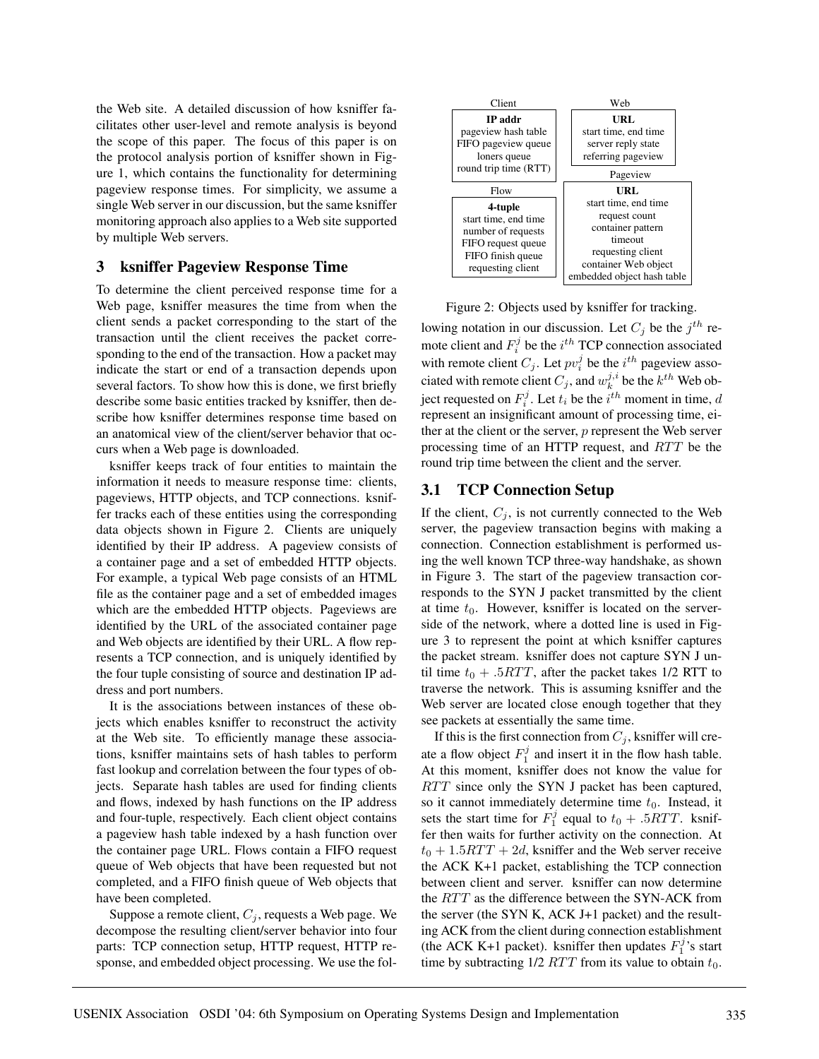the Web site. A detailed discussion of how ksniffer facilitates other user-level and remote analysis is beyond the scope of this paper. The focus of this paper is on the protocol analysis portion of ksniffer shown in Figure 1, which contains the functionality for determining pageview response times. For simplicity, we assume a single Web server in our discussion, but the same ksniffer monitoring approach also applies to a Web site supported by multiple Web servers.

#### **3 ksniffer Pageview Response Time**

To determine the client perceived response time for a Web page, ksniffer measures the time from when the client sends a packet corresponding to the start of the transaction until the client receives the packet corresponding to the end of the transaction. How a packet may indicate the start or end of a transaction depends upon several factors. To show how this is done, we first briefly describe some basic entities tracked by ksniffer, then describe how ksniffer determines response time based on an anatomical view of the client/server behavior that occurs when a Web page is downloaded.

ksniffer keeps track of four entities to maintain the information it needs to measure response time: clients, pageviews, HTTP objects, and TCP connections. ksniffer tracks each of these entities using the corresponding data objects shown in Figure 2. Clients are uniquely identified by their IP address. A pageview consists of a container page and a set of embedded HTTP objects. For example, a typical Web page consists of an HTML file as the container page and a set of embedded images which are the embedded HTTP objects. Pageviews are identified by the URL of the associated container page and Web objects are identified by their URL. A flow represents a TCP connection, and is uniquely identified by the four tuple consisting of source and destination IP address and port numbers.

It is the associations between instances of these objects which enables ksniffer to reconstruct the activity at the Web site. To efficiently manage these associations, ksniffer maintains sets of hash tables to perform fast lookup and correlation between the four types of objects. Separate hash tables are used for finding clients and flows, indexed by hash functions on the IP address and four-tuple, respectively. Each client object contains a pageview hash table indexed by a hash function over the container page URL. Flows contain a FIFO request queue of Web objects that have been requested but not completed, and a FIFO finish queue of Web objects that have been completed.

Suppose a remote client,  $C_j$ , requests a Web page. We decompose the resulting client/server behavior into four parts: TCP connection setup, HTTP request, HTTP response, and embedded object processing. We use the fol-



Figure 2: Objects used by ksniffer for tracking.

lowing notation in our discussion. Let  $C_i$  be the  $j<sup>th</sup>$  remote client and  $F_i^j$  be the  $i^{th}$  TCP connection associated with remote client  $C_j$ . Let  $pv_i^j$  be the  $i^{th}$  pageview associated with remote client  $C_j$ , and  $w_k^{j,i}$  be the  $k^{th}$  Web object requested on  $F_i^j$ . Let  $t_i$  be the  $i^{th}$  moment in time,  $d$ represent an insignificant amount of processing time, either at the client or the server, p represent the Web server processing time of an HTTP request, and  $RTT$  be the round trip time between the client and the server.

#### **3.1 TCP Connection Setup**

If the client,  $C_i$ , is not currently connected to the Web server, the pageview transaction begins with making a connection. Connection establishment is performed using the well known TCP three-way handshake, as shown in Figure 3. The start of the pageview transaction corresponds to the SYN J packet transmitted by the client at time  $t_0$ . However, ksniffer is located on the serverside of the network, where a dotted line is used in Figure 3 to represent the point at which ksniffer captures the packet stream. ksniffer does not capture SYN J until time  $t_0 + .5RTT$ , after the packet takes 1/2 RTT to traverse the network. This is assuming ksniffer and the Web server are located close enough together that they see packets at essentially the same time.

If this is the first connection from  $C_j$ , ksniffer will create a flow object  $F_1^j$  and insert it in the flow hash table. At this moment, ksniffer does not know the value for  $RTT$  since only the SYN J packet has been captured, so it cannot immediately determine time  $t_0$ . Instead, it sets the start time for  $F_1^j$  equal to  $t_0 + .5RTT$ . ksniffer then waits for further activity on the connection. At  $t_0 + 1.5RTT + 2d$ , ksniffer and the Web server receive the ACK K+1 packet, establishing the TCP connection between client and server. ksniffer can now determine the  $RTT$  as the difference between the SYN-ACK from the server (the SYN K, ACK J+1 packet) and the resulting ACK from the client during connection establishment (the ACK K+1 packet). ksniffer then updates  $F_1^j$ 's start time by subtracting  $1/2$  *RTT* from its value to obtain  $t_0$ .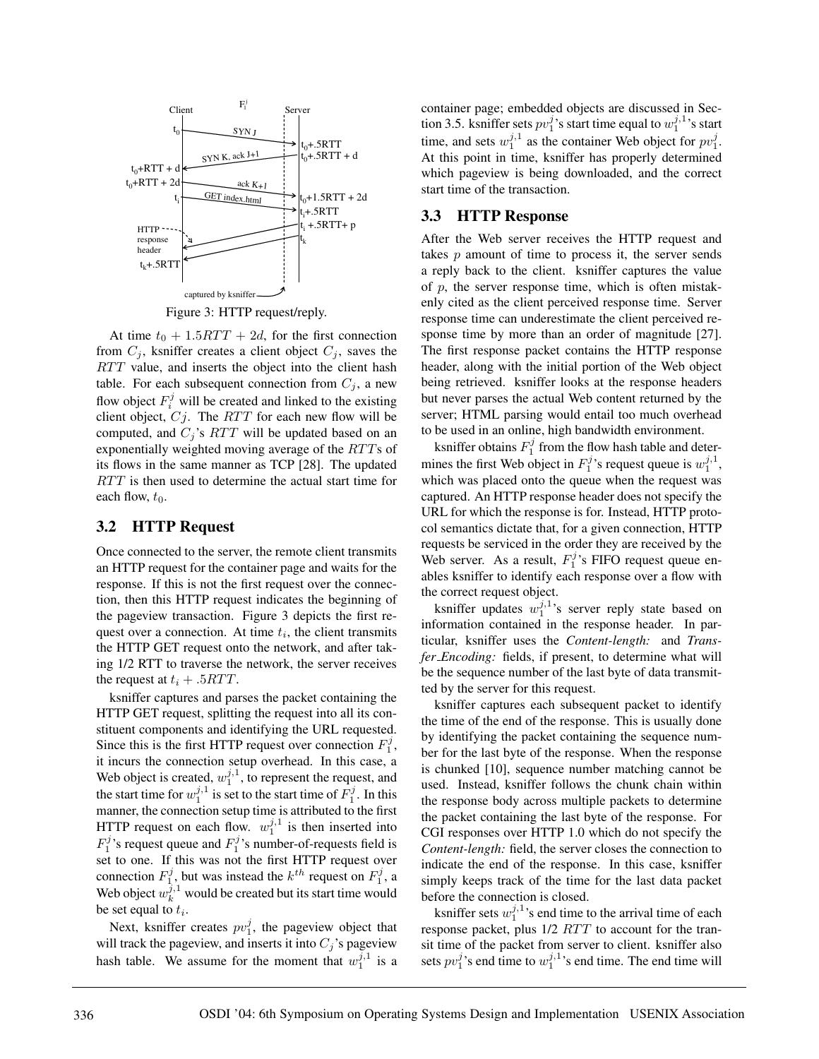

Figure 3: HTTP request/reply.

At time  $t_0 + 1.5RTT + 2d$ , for the first connection from  $C_j$ , ksniffer creates a client object  $C_j$ , saves the  $RTT$  value, and inserts the object into the client hash table. For each subsequent connection from  $C_i$ , a new flow object  $F_i^j$  will be created and linked to the existing client object,  $Cj$ . The  $RTT$  for each new flow will be computed, and  $C_j$ 's  $RTT$  will be updated based on an exponentially weighted moving average of the  $RTTs$  of its flows in the same manner as TCP [28]. The updated  $RTT$  is then used to determine the actual start time for each flow,  $t_0$ .

#### **3.2 HTTP Request**

Once connected to the server, the remote client transmits an HTTP request for the container page and waits for the response. If this is not the first request over the connection, then this HTTP request indicates the beginning of the pageview transaction. Figure 3 depicts the first request over a connection. At time  $t_i$ , the client transmits the HTTP GET request onto the network, and after taking 1/2 RTT to traverse the network, the server receives the request at  $t_i + .5RTT$ .

ksniffer captures and parses the packet containing the HTTP GET request, splitting the request into all its constituent components and identifying the URL requested. Since this is the first HTTP request over connection  $F_1^j$ , it incurs the connection setup overhead. In this case, a Web object is created,  $w_1^{j,1}$ , to represent the request, and the start time for  $w_1^{j,1}$  is set to the start time of  $F_1^j$ . In this manner, the connection setup time is attributed to the first HTTP request on each flow.  $w_1^{j,1}$  is then inserted into  $F_1^j$ 's request queue and  $F_1^j$ 's number-of-requests field is set to one. If this was not the first HTTP request over connection  $F_1^j$ , but was instead the  $k^{th}$  request on  $F_1^j$ , a Web object  $w_k^{j,1}$  would be created but its start time would be set equal to  $t_i$ .

Next, ksniffer creates  $pv_1^j$ , the pageview object that will track the pageview, and inserts it into  $C_j$ 's pageview hash table. We assume for the moment that  $w_1^{j,1}$  is a

container page; embedded objects are discussed in Section 3.5. ksniffer sets  $pv_1^j$ 's start time equal to  $w_1^{j,1}$ 's start time, and sets  $w_1^{j,1}$  as the container Web object for  $pv_1^j$ . At this point in time, ksniffer has properly determined which pageview is being downloaded, and the correct start time of the transaction.

#### **3.3 HTTP Response**

After the Web server receives the HTTP request and takes  $p$  amount of time to process it, the server sends a reply back to the client. ksniffer captures the value of  $p$ , the server response time, which is often mistakenly cited as the client perceived response time. Server response time can underestimate the client perceived response time by more than an order of magnitude [27]. The first response packet contains the HTTP response header, along with the initial portion of the Web object being retrieved. ksniffer looks at the response headers but never parses the actual Web content returned by the server; HTML parsing would entail too much overhead to be used in an online, high bandwidth environment.

ksniffer obtains  $F_1^j$  from the flow hash table and determines the first Web object in  $F_1^j$ 's request queue is  $w_1^{j,1}$ , which was placed onto the queue when the request was captured. An HTTP response header does not specify the URL for which the response is for. Instead, HTTP protocol semantics dictate that, for a given connection, HTTP requests be serviced in the order they are received by the Web server. As a result,  $F_1^j$ 's FIFO request queue enables ksniffer to identify each response over a flow with the correct request object.

ksniffer updates  $w_1^{j,1}$ 's server reply state based on information contained in the response header. In particular, ksniffer uses the *Content-length:* and *Transfer Encoding:* fields, if present, to determine what will be the sequence number of the last byte of data transmitted by the server for this request.

ksniffer captures each subsequent packet to identify the time of the end of the response. This is usually done by identifying the packet containing the sequence number for the last byte of the response. When the response is chunked [10], sequence number matching cannot be used. Instead, ksniffer follows the chunk chain within the response body across multiple packets to determine the packet containing the last byte of the response. For CGI responses over HTTP 1.0 which do not specify the *Content-length:* field, the server closes the connection to indicate the end of the response. In this case, ksniffer simply keeps track of the time for the last data packet before the connection is closed.

ksniffer sets  $w_1^{j,1}$ 's end time to the arrival time of each response packet, plus  $1/2$   $RTT$  to account for the transit time of the packet from server to client. ksniffer also sets  $pv_1^j$ 's end time to  $w_1^{j,1}$ 's end time. The end time will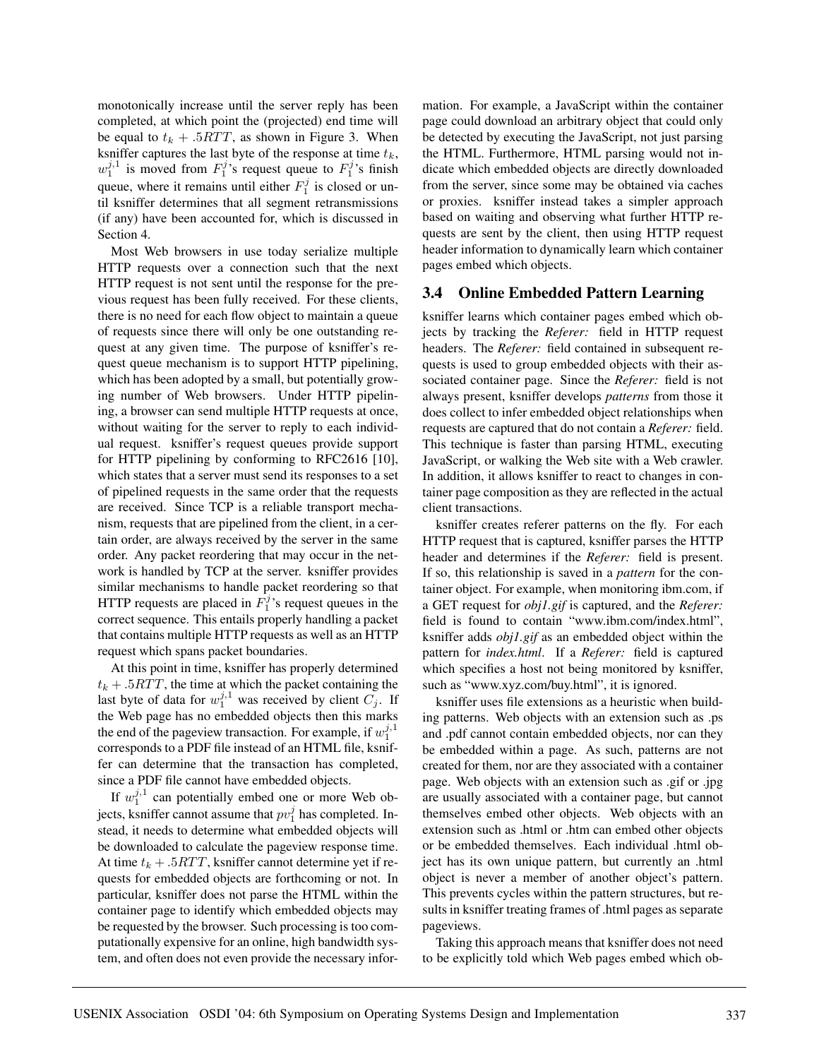monotonically increase until the server reply has been completed, at which point the (projected) end time will be equal to  $t_k + .5RTT$ , as shown in Figure 3. When ksniffer captures the last byte of the response at time  $t_k$ ,  $w_1^{j,1}$  is moved from  $F_1^j$ 's request queue to  $F_1^j$ 's finish queue, where it remains until either  $F_1^j$  is closed or until ksniffer determines that all segment retransmissions (if any) have been accounted for, which is discussed in Section 4.

Most Web browsers in use today serialize multiple HTTP requests over a connection such that the next HTTP request is not sent until the response for the previous request has been fully received. For these clients, there is no need for each flow object to maintain a queue of requests since there will only be one outstanding request at any given time. The purpose of ksniffer's request queue mechanism is to support HTTP pipelining, which has been adopted by a small, but potentially growing number of Web browsers. Under HTTP pipelining, a browser can send multiple HTTP requests at once, without waiting for the server to reply to each individual request. ksniffer's request queues provide support for HTTP pipelining by conforming to RFC2616 [10], which states that a server must send its responses to a set of pipelined requests in the same order that the requests are received. Since TCP is a reliable transport mechanism, requests that are pipelined from the client, in a certain order, are always received by the server in the same order. Any packet reordering that may occur in the network is handled by TCP at the server. ksniffer provides similar mechanisms to handle packet reordering so that HTTP requests are placed in  $\vec{F}_1^j$ 's request queues in the correct sequence. This entails properly handling a packet that contains multiple HTTP requests as well as an HTTP request which spans packet boundaries.

At this point in time, ksniffer has properly determined  $t_k + .5RTT$ , the time at which the packet containing the last byte of data for  $w_1^{j,1}$  was received by client  $C_j$ . If the Web page has no embedded objects then this marks the end of the pageview transaction. For example, if  $w_1^{j,1}$ corresponds to a PDF file instead of an HTML file, ksniffer can determine that the transaction has completed, since a PDF file cannot have embedded objects.

If  $w_1^{j,1}$  can potentially embed one or more Web objects, ksniffer cannot assume that  $pv_1^j$  has completed. Instead, it needs to determine what embedded objects will be downloaded to calculate the pageview response time. At time  $t_k + .5RTT$ , ksniffer cannot determine yet if requests for embedded objects are forthcoming or not. In particular, ksniffer does not parse the HTML within the container page to identify which embedded objects may be requested by the browser. Such processing is too computationally expensive for an online, high bandwidth system, and often does not even provide the necessary information. For example, a JavaScript within the container page could download an arbitrary object that could only be detected by executing the JavaScript, not just parsing the HTML. Furthermore, HTML parsing would not indicate which embedded objects are directly downloaded from the server, since some may be obtained via caches or proxies. ksniffer instead takes a simpler approach based on waiting and observing what further HTTP requests are sent by the client, then using HTTP request header information to dynamically learn which container pages embed which objects.

## **3.4 Online Embedded Pattern Learning**

ksniffer learns which container pages embed which objects by tracking the *Referer:* field in HTTP request headers. The *Referer:* field contained in subsequent requests is used to group embedded objects with their associated container page. Since the *Referer:* field is not always present, ksniffer develops *patterns* from those it does collect to infer embedded object relationships when requests are captured that do not contain a *Referer:* field. This technique is faster than parsing HTML, executing JavaScript, or walking the Web site with a Web crawler. In addition, it allows ksniffer to react to changes in container page composition as they are reflected in the actual client transactions.

ksniffer creates referer patterns on the fly. For each HTTP request that is captured, ksniffer parses the HTTP header and determines if the *Referer:* field is present. If so, this relationship is saved in a *pattern* for the container object. For example, when monitoring ibm.com, if a GET request for *obj1.gif* is captured, and the *Referer:* field is found to contain "www.ibm.com/index.html", ksniffer adds *obj1.gif* as an embedded object within the pattern for *index.html*. If a *Referer:* field is captured which specifies a host not being monitored by ksniffer, such as "www.xyz.com/buy.html", it is ignored.

ksniffer uses file extensions as a heuristic when building patterns. Web objects with an extension such as .ps and .pdf cannot contain embedded objects, nor can they be embedded within a page. As such, patterns are not created for them, nor are they associated with a container page. Web objects with an extension such as .gif or .jpg are usually associated with a container page, but cannot themselves embed other objects. Web objects with an extension such as .html or .htm can embed other objects or be embedded themselves. Each individual .html object has its own unique pattern, but currently an .html object is never a member of another object's pattern. This prevents cycles within the pattern structures, but results in ksniffer treating frames of .html pages as separate pageviews.

Taking this approach means that ksniffer does not need to be explicitly told which Web pages embed which ob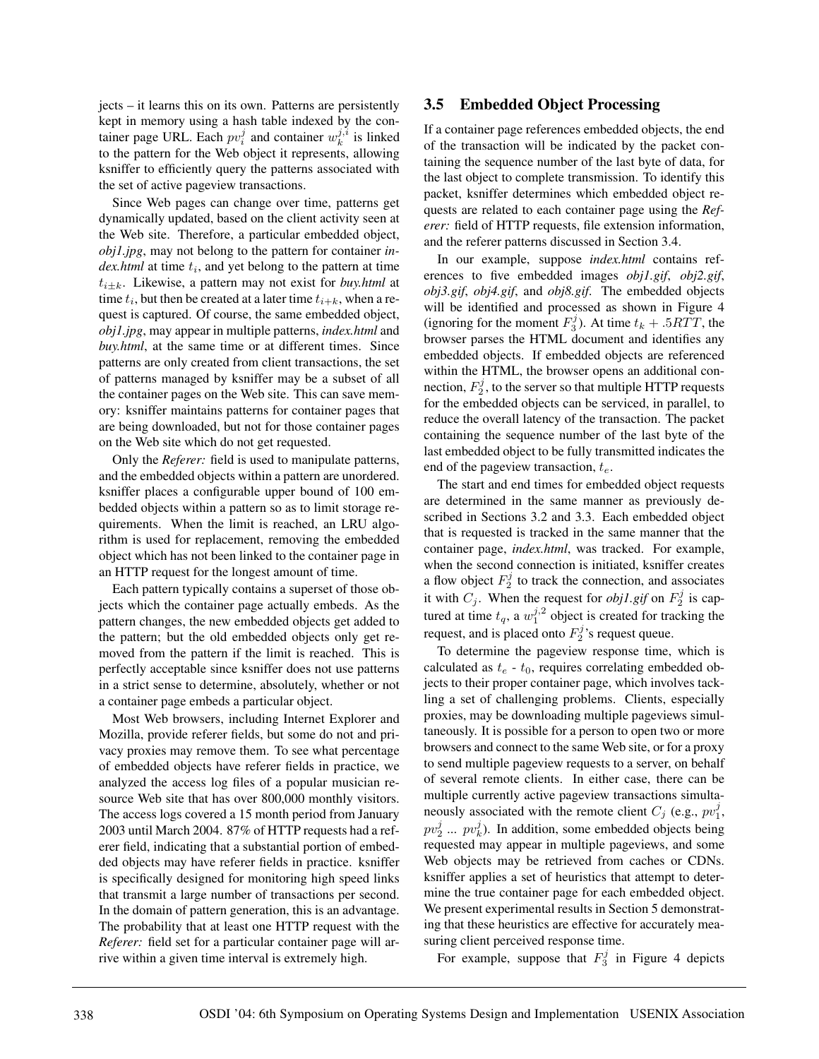jects – it learns this on its own. Patterns are persistently kept in memory using a hash table indexed by the container page URL. Each  $pv_i^j$  and container  $w_k^{j,i}$  is linked to the pattern for the Web object it represents, allowing ksniffer to efficiently query the patterns associated with the set of active pageview transactions.

Since Web pages can change over time, patterns get dynamically updated, based on the client activity seen at the Web site. Therefore, a particular embedded object, *obj1.jpg*, may not belong to the pattern for container *in* $dex.html$  at time  $t_i$ , and yet belong to the pattern at time  $t_{i\pm k}$ . Likewise, a pattern may not exist for *buy.html* at time  $t_i$ , but then be created at a later time  $t_{i+k}$ , when a request is captured. Of course, the same embedded object, *obj1.jpg*, may appear in multiple patterns, *index.html* and *buy.html*, at the same time or at different times. Since patterns are only created from client transactions, the set of patterns managed by ksniffer may be a subset of all the container pages on the Web site. This can save memory: ksniffer maintains patterns for container pages that are being downloaded, but not for those container pages on the Web site which do not get requested.

Only the *Referer:* field is used to manipulate patterns, and the embedded objects within a pattern are unordered. ksniffer places a configurable upper bound of 100 embedded objects within a pattern so as to limit storage requirements. When the limit is reached, an LRU algorithm is used for replacement, removing the embedded object which has not been linked to the container page in an HTTP request for the longest amount of time.

Each pattern typically contains a superset of those objects which the container page actually embeds. As the pattern changes, the new embedded objects get added to the pattern; but the old embedded objects only get removed from the pattern if the limit is reached. This is perfectly acceptable since ksniffer does not use patterns in a strict sense to determine, absolutely, whether or not a container page embeds a particular object.

Most Web browsers, including Internet Explorer and Mozilla, provide referer fields, but some do not and privacy proxies may remove them. To see what percentage of embedded objects have referer fields in practice, we analyzed the access log files of a popular musician resource Web site that has over 800,000 monthly visitors. The access logs covered a 15 month period from January 2003 until March 2004. 87% of HTTP requests had a referer field, indicating that a substantial portion of embedded objects may have referer fields in practice. ksniffer is specifically designed for monitoring high speed links that transmit a large number of transactions per second. In the domain of pattern generation, this is an advantage. The probability that at least one HTTP request with the *Referer:* field set for a particular container page will arrive within a given time interval is extremely high.

## **3.5 Embedded Object Processing**

If a container page references embedded objects, the end of the transaction will be indicated by the packet containing the sequence number of the last byte of data, for the last object to complete transmission. To identify this packet, ksniffer determines which embedded object requests are related to each container page using the *Referer:* field of HTTP requests, file extension information, and the referer patterns discussed in Section 3.4.

In our example, suppose *index.html* contains references to five embedded images *obj1.gif*, *obj2.gif*, *obj3.gif*, *obj4.gif*, and *obj8.gif*. The embedded objects will be identified and processed as shown in Figure 4 (ignoring for the moment  $F_3^j$ ). At time  $t_k + .5RTT$ , the browser parses the HTML document and identifies any embedded objects. If embedded objects are referenced within the HTML, the browser opens an additional connection,  $F_2^j$ , to the server so that multiple HTTP requests for the embedded objects can be serviced, in parallel, to reduce the overall latency of the transaction. The packet containing the sequence number of the last byte of the last embedded object to be fully transmitted indicates the end of the pageview transaction,  $t_e$ .

The start and end times for embedded object requests are determined in the same manner as previously described in Sections 3.2 and 3.3. Each embedded object that is requested is tracked in the same manner that the container page, *index.html*, was tracked. For example, when the second connection is initiated, ksniffer creates a flow object  $F_2^j$  to track the connection, and associates it with  $C_j$ . When the request for *obj1.gif* on  $F_2^j$  is captured at time  $t_q$ , a  $w_1^{j,2}$  object is created for tracking the request, and is placed onto  $F_2^j$ 's request queue.

To determine the pageview response time, which is calculated as  $t_e$  -  $t_0$ , requires correlating embedded objects to their proper container page, which involves tackling a set of challenging problems. Clients, especially proxies, may be downloading multiple pageviews simultaneously. It is possible for a person to open two or more browsers and connect to the same Web site, or for a proxy to send multiple pageview requests to a server, on behalf of several remote clients. In either case, there can be multiple currently active pageview transactions simultaneously associated with the remote client  $C_j$  (e.g.,  $pv_1^j$ ,  $pv_2^j$  ...  $pv_k^j$ ). In addition, some embedded objects being requested may appear in multiple pageviews, and some Web objects may be retrieved from caches or CDNs. ksniffer applies a set of heuristics that attempt to determine the true container page for each embedded object. We present experimental results in Section 5 demonstrating that these heuristics are effective for accurately measuring client perceived response time.

For example, suppose that  $F_3^j$  in Figure 4 depicts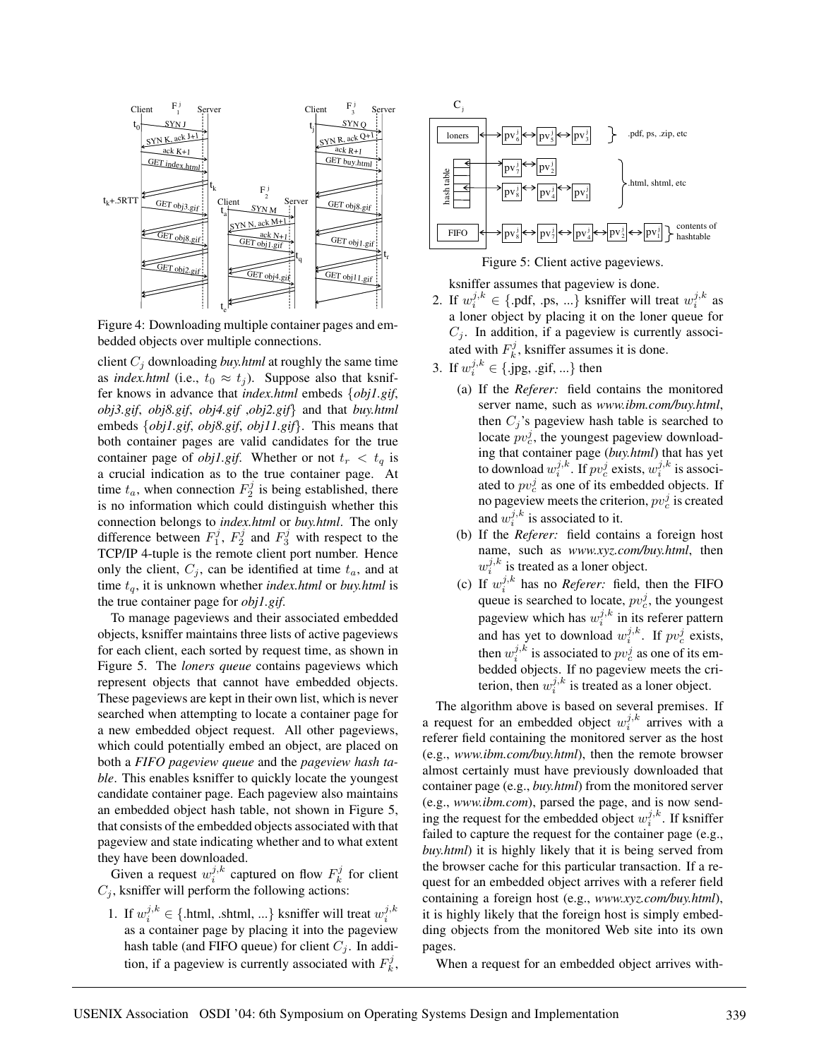

Figure 4: Downloading multiple container pages and embedded objects over multiple connections.

client  $C_i$  downloading *buy.html* at roughly the same time as *index.html* (i.e.,  $t_0 \approx t_i$ ). Suppose also that ksniffer knows in advance that *index.html* embeds {*obj1.gif*, *obj3.gif*, *obj8.gif*, *obj4.gif* ,*obj2.gif*} and that *buy.html* embeds {*obj1.gif*, *obj8.gif*, *obj11.gif*}. This means that both container pages are valid candidates for the true container page of *obj1.gif*. Whether or not  $t_r < t_q$  is a crucial indication as to the true container page. At time  $t_a$ , when connection  $F_2^j$  is being established, there is no information which could distinguish whether this connection belongs to *index.html* or *buy.html*. The only difference between  $F_1^j$ ,  $F_2^j$  and  $F_3^j$  with respect to the TCP/IP 4-tuple is the remote client port number. Hence only the client,  $C_i$ , can be identified at time  $t_a$ , and at time  $t_q$ , it is unknown whether *index.html* or *buy.html* is the true container page for *obj1.gif*.

To manage pageviews and their associated embedded objects, ksniffer maintains three lists of active pageviews for each client, each sorted by request time, as shown in Figure 5. The *loners queue* contains pageviews which represent objects that cannot have embedded objects. These pageviews are kept in their own list, which is never searched when attempting to locate a container page for a new embedded object request. All other pageviews, which could potentially embed an object, are placed on both a *FIFO pageview queue* and the *pageview hash table*. This enables ksniffer to quickly locate the youngest candidate container page. Each pageview also maintains an embedded object hash table, not shown in Figure 5, that consists of the embedded objects associated with that pageview and state indicating whether and to what extent they have been downloaded.

Given a request  $w_i^{j,k}$  captured on flow  $F_k^j$  for client  $C_i$ , ksniffer will perform the following actions:

1. If  $w_i^{j,k} \in \{\text{.html}, \text{ .shtml}, \ldots\}$  ksniffer will treat  $w_i^{j,k}$ as a container page by placing it into the pageview hash table (and FIFO queue) for client  $C_j$ . In addition, if a pageview is currently associated with  $F_k^j$ ,



ksniffer assumes that pageview is done.

- 2. If  $w_i^{j,k} \in \{\text{.pdf}, \text{.ps}, \ldots\}$  ksniffer will treat  $w_i^{j,k}$  as a loner object by placing it on the loner queue for  $C_j$ . In addition, if a pageview is currently associated with  $F_k^j$ , ksniffer assumes it is done.
- 3. If  $w_i^{j,k} \in \{\text{.jpg}, \text{.gif, ...\} \text{ then}$ 
	- (a) If the *Referer:* field contains the monitored server name, such as *www.ibm.com/buy.html*, then  $C_i$ 's pageview hash table is searched to locate  $pv_c^j$ , the youngest pageview downloading that container page (*buy.html*) that has yet to download  $w_i^{j,k}$ . If  $pv_c^j$  exists,  $w_i^{j,k}$  is associated to  $pv_c^j$  as one of its embedded objects. If no pageview meets the criterion,  $pv_c^j$  is created and  $w_i^{j,k}$  is associated to it.
	- (b) If the *Referer:* field contains a foreign host name, such as *www.xyz.com/buy.html*, then  $w_i^{j,k}$  is treated as a loner object.
	- (c) If  $w_i^{j,k}$  has no *Referer:* field, then the FIFO queue is searched to locate,  $pv_c^j$ , the youngest pageview which has  $w_i^{j,k}$  in its referer pattern and has yet to download  $w_i^{j,k}$ . If  $pv_c^j$  exists, then  $w_i^{j,k}$  is associated to  $pv_c^j$  as one of its embedded objects. If no pageview meets the criterion, then  $w_i^{j,k}$  is treated as a loner object.

The algorithm above is based on several premises. If a request for an embedded object  $w_i^{j,k}$  arrives with a referer field containing the monitored server as the host (e.g., *www.ibm.com/buy.html*), then the remote browser almost certainly must have previously downloaded that container page (e.g., *buy.html*) from the monitored server (e.g., *www.ibm.com*), parsed the page, and is now sending the request for the embedded object  $w_i^{j,k}$ . If ksniffer failed to capture the request for the container page (e.g., *buy.html*) it is highly likely that it is being served from the browser cache for this particular transaction. If a request for an embedded object arrives with a referer field containing a foreign host (e.g., *www.xyz.com/buy.html*), it is highly likely that the foreign host is simply embedding objects from the monitored Web site into its own pages.

When a request for an embedded object arrives with-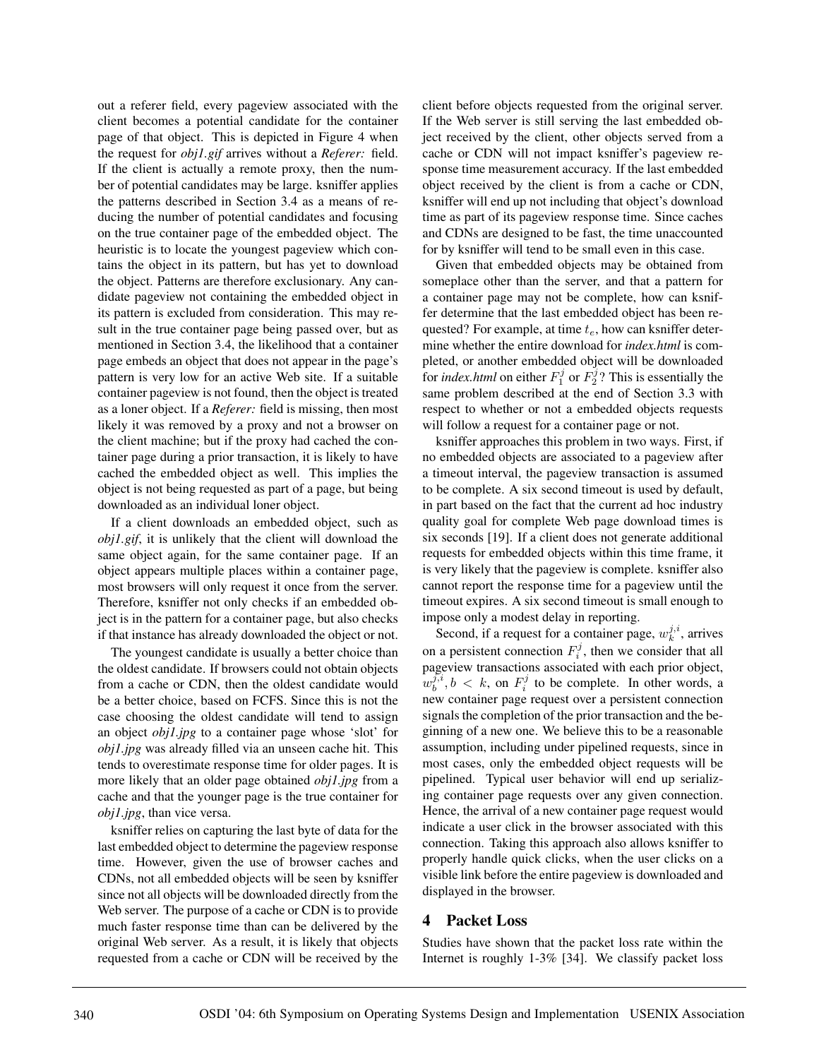out a referer field, every pageview associated with the client becomes a potential candidate for the container page of that object. This is depicted in Figure 4 when the request for *obj1.gif* arrives without a *Referer:* field. If the client is actually a remote proxy, then the number of potential candidates may be large. ksniffer applies the patterns described in Section 3.4 as a means of reducing the number of potential candidates and focusing on the true container page of the embedded object. The heuristic is to locate the youngest pageview which contains the object in its pattern, but has yet to download the object. Patterns are therefore exclusionary. Any candidate pageview not containing the embedded object in its pattern is excluded from consideration. This may result in the true container page being passed over, but as mentioned in Section 3.4, the likelihood that a container page embeds an object that does not appear in the page's pattern is very low for an active Web site. If a suitable container pageview is not found, then the object is treated as a loner object. If a *Referer:* field is missing, then most likely it was removed by a proxy and not a browser on the client machine; but if the proxy had cached the container page during a prior transaction, it is likely to have cached the embedded object as well. This implies the object is not being requested as part of a page, but being downloaded as an individual loner object.

If a client downloads an embedded object, such as *obj1.gif*, it is unlikely that the client will download the same object again, for the same container page. If an object appears multiple places within a container page, most browsers will only request it once from the server. Therefore, ksniffer not only checks if an embedded object is in the pattern for a container page, but also checks if that instance has already downloaded the object or not.

The youngest candidate is usually a better choice than the oldest candidate. If browsers could not obtain objects from a cache or CDN, then the oldest candidate would be a better choice, based on FCFS. Since this is not the case choosing the oldest candidate will tend to assign an object *obj1.jpg* to a container page whose 'slot' for *obj1.jpg* was already filled via an unseen cache hit. This tends to overestimate response time for older pages. It is more likely that an older page obtained *obj1.jpg* from a cache and that the younger page is the true container for *obj1.jpg*, than vice versa.

ksniffer relies on capturing the last byte of data for the last embedded object to determine the pageview response time. However, given the use of browser caches and CDNs, not all embedded objects will be seen by ksniffer since not all objects will be downloaded directly from the Web server. The purpose of a cache or CDN is to provide much faster response time than can be delivered by the original Web server. As a result, it is likely that objects requested from a cache or CDN will be received by the client before objects requested from the original server. If the Web server is still serving the last embedded object received by the client, other objects served from a cache or CDN will not impact ksniffer's pageview response time measurement accuracy. If the last embedded object received by the client is from a cache or CDN, ksniffer will end up not including that object's download time as part of its pageview response time. Since caches and CDNs are designed to be fast, the time unaccounted for by ksniffer will tend to be small even in this case.

Given that embedded objects may be obtained from someplace other than the server, and that a pattern for a container page may not be complete, how can ksniffer determine that the last embedded object has been requested? For example, at time  $t_e$ , how can ksniffer determine whether the entire download for *index.html* is completed, or another embedded object will be downloaded for *index.html* on either  $F_1^j$  or  $F_2^j$ ? This is essentially the same problem described at the end of Section 3.3 with respect to whether or not a embedded objects requests will follow a request for a container page or not.

ksniffer approaches this problem in two ways. First, if no embedded objects are associated to a pageview after a timeout interval, the pageview transaction is assumed to be complete. A six second timeout is used by default, in part based on the fact that the current ad hoc industry quality goal for complete Web page download times is six seconds [19]. If a client does not generate additional requests for embedded objects within this time frame, it is very likely that the pageview is complete. ksniffer also cannot report the response time for a pageview until the timeout expires. A six second timeout is small enough to impose only a modest delay in reporting.

Second, if a request for a container page,  $w_k^{j,i}$ , arrives on a persistent connection  $F_i^j$ , then we consider that all pageview transactions associated with each prior object,  $w_b^{j,i}$ ,  $b < k$ , on  $F_i^j$  to be complete. In other words, a new container page request over a persistent connection signals the completion of the prior transaction and the beginning of a new one. We believe this to be a reasonable assumption, including under pipelined requests, since in most cases, only the embedded object requests will be pipelined. Typical user behavior will end up serializing container page requests over any given connection. Hence, the arrival of a new container page request would indicate a user click in the browser associated with this connection. Taking this approach also allows ksniffer to properly handle quick clicks, when the user clicks on a visible link before the entire pageview is downloaded and displayed in the browser.

## **4 Packet Loss**

Studies have shown that the packet loss rate within the Internet is roughly 1-3% [34]. We classify packet loss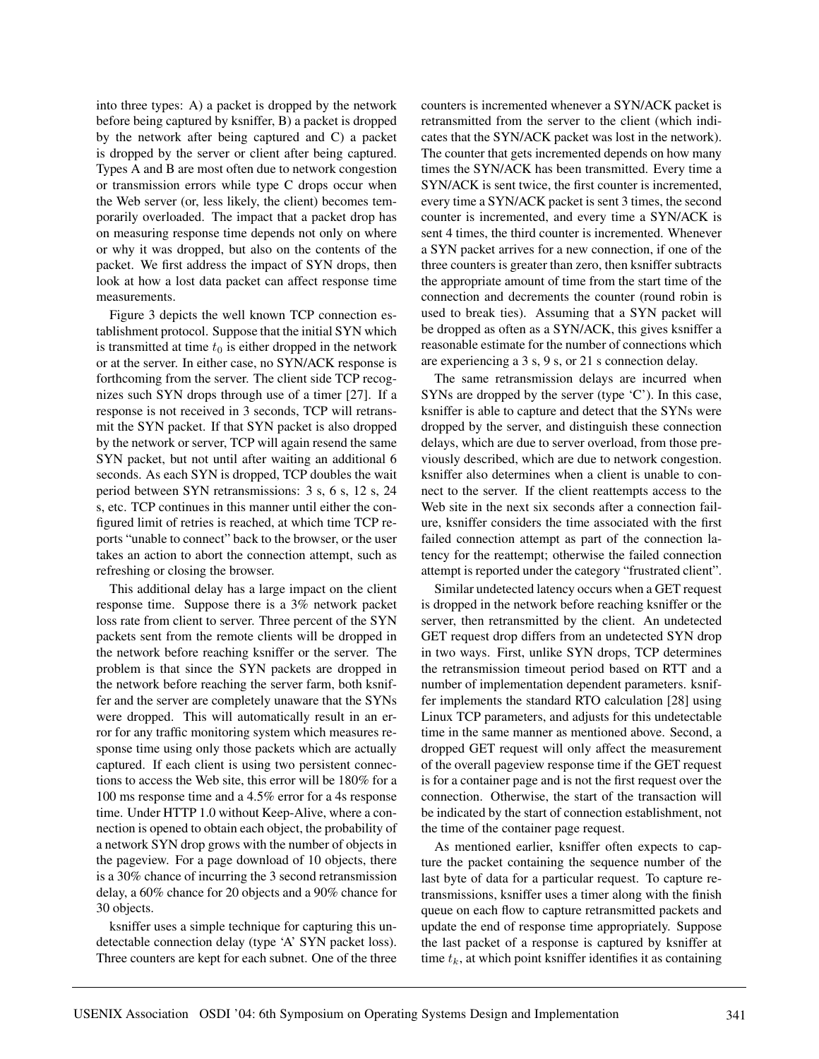into three types: A) a packet is dropped by the network before being captured by ksniffer, B) a packet is dropped by the network after being captured and C) a packet is dropped by the server or client after being captured. Types A and B are most often due to network congestion or transmission errors while type C drops occur when the Web server (or, less likely, the client) becomes temporarily overloaded. The impact that a packet drop has on measuring response time depends not only on where or why it was dropped, but also on the contents of the packet. We first address the impact of SYN drops, then look at how a lost data packet can affect response time measurements.

Figure 3 depicts the well known TCP connection establishment protocol. Suppose that the initial SYN which is transmitted at time  $t_0$  is either dropped in the network or at the server. In either case, no SYN/ACK response is forthcoming from the server. The client side TCP recognizes such SYN drops through use of a timer [27]. If a response is not received in 3 seconds, TCP will retransmit the SYN packet. If that SYN packet is also dropped by the network or server, TCP will again resend the same SYN packet, but not until after waiting an additional 6 seconds. As each SYN is dropped, TCP doubles the wait period between SYN retransmissions: 3 s, 6 s, 12 s, 24 s, etc. TCP continues in this manner until either the configured limit of retries is reached, at which time TCP reports "unable to connect" back to the browser, or the user takes an action to abort the connection attempt, such as refreshing or closing the browser.

This additional delay has a large impact on the client response time. Suppose there is a 3% network packet loss rate from client to server. Three percent of the SYN packets sent from the remote clients will be dropped in the network before reaching ksniffer or the server. The problem is that since the SYN packets are dropped in the network before reaching the server farm, both ksniffer and the server are completely unaware that the SYNs were dropped. This will automatically result in an error for any traffic monitoring system which measures response time using only those packets which are actually captured. If each client is using two persistent connections to access the Web site, this error will be 180% for a 100 ms response time and a 4.5% error for a 4s response time. Under HTTP 1.0 without Keep-Alive, where a connection is opened to obtain each object, the probability of a network SYN drop grows with the number of objects in the pageview. For a page download of 10 objects, there is a 30% chance of incurring the 3 second retransmission delay, a 60% chance for 20 objects and a 90% chance for 30 objects.

ksniffer uses a simple technique for capturing this undetectable connection delay (type 'A' SYN packet loss). Three counters are kept for each subnet. One of the three counters is incremented whenever a SYN/ACK packet is retransmitted from the server to the client (which indicates that the SYN/ACK packet was lost in the network). The counter that gets incremented depends on how many times the SYN/ACK has been transmitted. Every time a SYN/ACK is sent twice, the first counter is incremented, every time a SYN/ACK packet is sent 3 times, the second counter is incremented, and every time a SYN/ACK is sent 4 times, the third counter is incremented. Whenever a SYN packet arrives for a new connection, if one of the three counters is greater than zero, then ksniffer subtracts the appropriate amount of time from the start time of the connection and decrements the counter (round robin is used to break ties). Assuming that a SYN packet will be dropped as often as a SYN/ACK, this gives ksniffer a reasonable estimate for the number of connections which are experiencing a 3 s, 9 s, or 21 s connection delay.

The same retransmission delays are incurred when SYNs are dropped by the server (type 'C'). In this case, ksniffer is able to capture and detect that the SYNs were dropped by the server, and distinguish these connection delays, which are due to server overload, from those previously described, which are due to network congestion. ksniffer also determines when a client is unable to connect to the server. If the client reattempts access to the Web site in the next six seconds after a connection failure, ksniffer considers the time associated with the first failed connection attempt as part of the connection latency for the reattempt; otherwise the failed connection attempt is reported under the category "frustrated client".

Similar undetected latency occurs when a GET request is dropped in the network before reaching ksniffer or the server, then retransmitted by the client. An undetected GET request drop differs from an undetected SYN drop in two ways. First, unlike SYN drops, TCP determines the retransmission timeout period based on RTT and a number of implementation dependent parameters. ksniffer implements the standard RTO calculation [28] using Linux TCP parameters, and adjusts for this undetectable time in the same manner as mentioned above. Second, a dropped GET request will only affect the measurement of the overall pageview response time if the GET request is for a container page and is not the first request over the connection. Otherwise, the start of the transaction will be indicated by the start of connection establishment, not the time of the container page request.

As mentioned earlier, ksniffer often expects to capture the packet containing the sequence number of the last byte of data for a particular request. To capture retransmissions, ksniffer uses a timer along with the finish queue on each flow to capture retransmitted packets and update the end of response time appropriately. Suppose the last packet of a response is captured by ksniffer at time  $t_k$ , at which point ksniffer identifies it as containing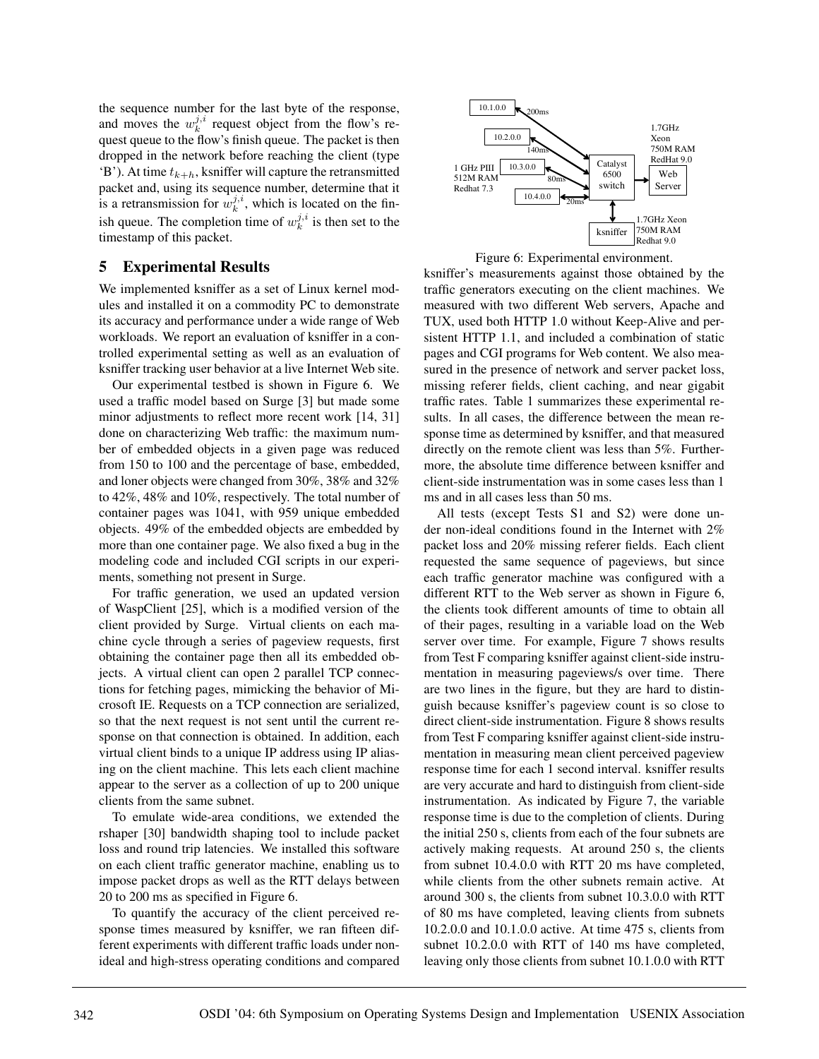the sequence number for the last byte of the response, and moves the  $w_k^{j,i}$  request object from the flow's request queue to the flow's finish queue. The packet is then dropped in the network before reaching the client (type  $B'$ ). At time  $t_{k+h}$ , ksniffer will capture the retransmitted packet and, using its sequence number, determine that it is a retransmission for  $w_k^{j,i}$ , which is located on the finish queue. The completion time of  $w_k^{j,i}$  is then set to the timestamp of this packet.

## **5 Experimental Results**

We implemented ksniffer as a set of Linux kernel modules and installed it on a commodity PC to demonstrate its accuracy and performance under a wide range of Web workloads. We report an evaluation of ksniffer in a controlled experimental setting as well as an evaluation of ksniffer tracking user behavior at a live Internet Web site.

Our experimental testbed is shown in Figure 6. We used a traffic model based on Surge [3] but made some minor adjustments to reflect more recent work [14, 31] done on characterizing Web traffic: the maximum number of embedded objects in a given page was reduced from 150 to 100 and the percentage of base, embedded, and loner objects were changed from 30%, 38% and 32% to 42%, 48% and 10%, respectively. The total number of container pages was 1041, with 959 unique embedded objects. 49% of the embedded objects are embedded by more than one container page. We also fixed a bug in the modeling code and included CGI scripts in our experiments, something not present in Surge.

For traffic generation, we used an updated version of WaspClient [25], which is a modified version of the client provided by Surge. Virtual clients on each machine cycle through a series of pageview requests, first obtaining the container page then all its embedded objects. A virtual client can open 2 parallel TCP connections for fetching pages, mimicking the behavior of Microsoft IE. Requests on a TCP connection are serialized, so that the next request is not sent until the current response on that connection is obtained. In addition, each virtual client binds to a unique IP address using IP aliasing on the client machine. This lets each client machine appear to the server as a collection of up to 200 unique clients from the same subnet.

To emulate wide-area conditions, we extended the rshaper [30] bandwidth shaping tool to include packet loss and round trip latencies. We installed this software on each client traffic generator machine, enabling us to impose packet drops as well as the RTT delays between 20 to 200 ms as specified in Figure 6.

To quantify the accuracy of the client perceived response times measured by ksniffer, we ran fifteen different experiments with different traffic loads under nonideal and high-stress operating conditions and compared



Figure 6: Experimental environment.

ksniffer's measurements against those obtained by the traffic generators executing on the client machines. We measured with two different Web servers, Apache and TUX, used both HTTP 1.0 without Keep-Alive and persistent HTTP 1.1, and included a combination of static pages and CGI programs for Web content. We also measured in the presence of network and server packet loss, missing referer fields, client caching, and near gigabit traffic rates. Table 1 summarizes these experimental results. In all cases, the difference between the mean response time as determined by ksniffer, and that measured directly on the remote client was less than 5%. Furthermore, the absolute time difference between ksniffer and client-side instrumentation was in some cases less than 1 ms and in all cases less than 50 ms.

All tests (except Tests S1 and S2) were done under non-ideal conditions found in the Internet with 2% packet loss and 20% missing referer fields. Each client requested the same sequence of pageviews, but since each traffic generator machine was configured with a different RTT to the Web server as shown in Figure 6, the clients took different amounts of time to obtain all of their pages, resulting in a variable load on the Web server over time. For example, Figure 7 shows results from Test F comparing ksniffer against client-side instrumentation in measuring pageviews/s over time. There are two lines in the figure, but they are hard to distinguish because ksniffer's pageview count is so close to direct client-side instrumentation. Figure 8 shows results from Test F comparing ksniffer against client-side instrumentation in measuring mean client perceived pageview response time for each 1 second interval. ksniffer results are very accurate and hard to distinguish from client-side instrumentation. As indicated by Figure 7, the variable response time is due to the completion of clients. During the initial 250 s, clients from each of the four subnets are actively making requests. At around 250 s, the clients from subnet 10.4.0.0 with RTT 20 ms have completed, while clients from the other subnets remain active. At around 300 s, the clients from subnet 10.3.0.0 with RTT of 80 ms have completed, leaving clients from subnets 10.2.0.0 and 10.1.0.0 active. At time 475 s, clients from subnet 10.2.0.0 with RTT of 140 ms have completed, leaving only those clients from subnet 10.1.0.0 with RTT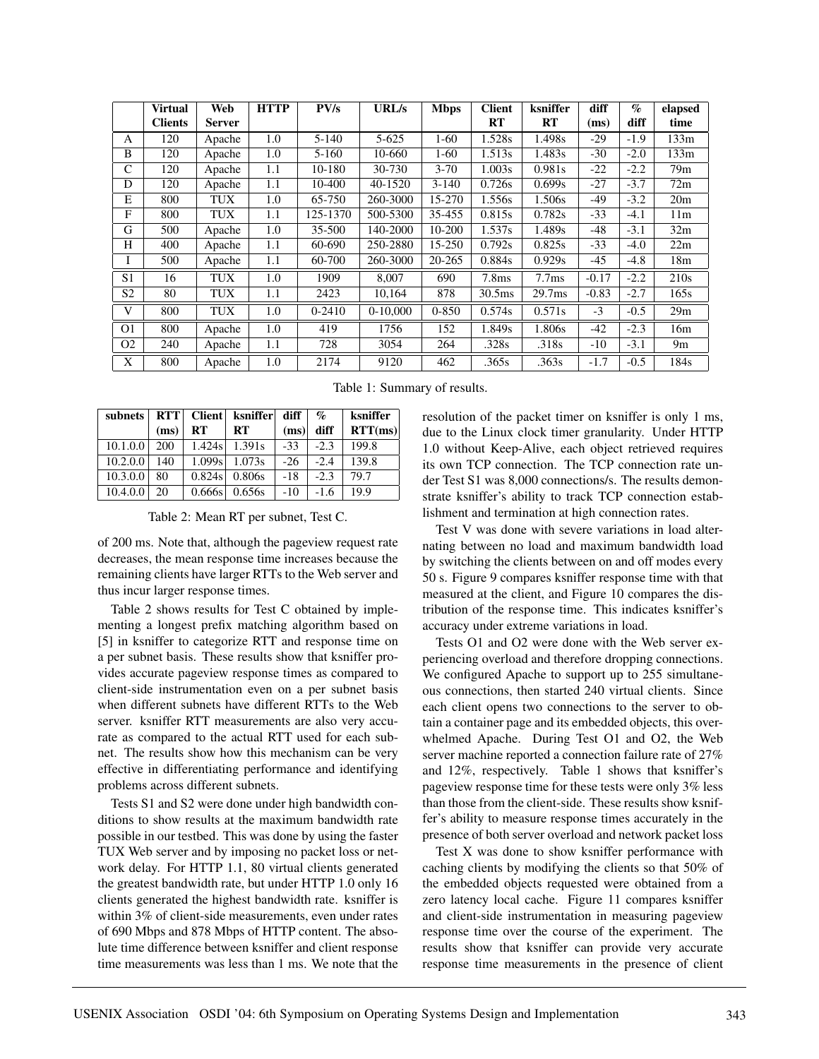|                | <b>Virtual</b> | Web           | <b>HTTP</b> | PV/s      | URL/s      | <b>Mbps</b> | <b>Client</b>      | ksniffer           | diff    | $\mathcal{O}_0$ | elapsed         |
|----------------|----------------|---------------|-------------|-----------|------------|-------------|--------------------|--------------------|---------|-----------------|-----------------|
|                | <b>Clients</b> | <b>Server</b> |             |           |            |             | RT                 | RT                 | (ms)    | diff            | time            |
| A              | 120            | Apache        | 1.0         | $5 - 140$ | $5 - 625$  | $1-60$      | 1.528s             | 1.498s             | $-29$   | $-1.9$          | 133m            |
| B              | 120            | Apache        | 1.0         | $5 - 160$ | 10-660     | $1-60$      | 1.513s             | 1.483s             | -30     | $-2.0$          | 133m            |
| C              | 120            | Apache        | 1.1         | 10-180    | 30-730     | $3 - 70$    | 1.003s             | 0.981s             | $-22$   | $-2.2$          | 79m             |
| D              | 120            | Apache        | 1.1         | 10-400    | 40-1520    | $3-140$     | 0.726s             | 0.699s             | $-27$   | $-3.7$          | 72m             |
| E              | 800            | TUX           | 1.0         | 65-750    | 260-3000   | 15-270      | 1.556s             | 1.506s             | -49     | $-3.2$          | 20 <sub>m</sub> |
| F              | 800            | TUX           | 1.1         | 125-1370  | 500-5300   | 35-455      | 0.815s             | 0.782s             | $-33$   | $-4.1$          | 11 <sub>m</sub> |
| G              | 500            | Apache        | 1.0         | 35-500    | 140-2000   | 10-200      | 1.537s             | 1.489s             | -48     | $-3.1$          | 32m             |
| H              | 400            | Apache        | 1.1         | 60-690    | 250-2880   | 15-250      | 0.792s             | 0.825s             | $-33$   | $-4.0$          | 22m             |
| -1             | 500            | Apache        | 1.1         | 60-700    | 260-3000   | 20-265      | 0.884s             | 0.929s             | -45     | $-4.8$          | 18 <sub>m</sub> |
| S1             | 16             | TUX           | 1.0         | 1909      | 8.007      | 690         | 7.8 <sub>ms</sub>  | 7.7 <sub>ms</sub>  | $-0.17$ | $-2.2$          | 210s            |
| S <sub>2</sub> | 80             | TUX           | 1.1         | 2423      | 10,164     | 878         | 30.5 <sub>ms</sub> | 29.7 <sub>ms</sub> | $-0.83$ | $-2.7$          | 165s            |
| V              | 800            | <b>TUX</b>    | 1.0         | $0-2410$  | $0-10,000$ | $0 - 850$   | 0.574s             | 0.571s             | $-3$    | $-0.5$          | 29m             |
| O <sub>1</sub> | 800            | Apache        | 1.0         | 419       | 1756       | 152         | 1.849s             | 1.806s             | $-42$   | $-2.3$          | 16m             |
| O <sub>2</sub> | 240            | Apache        | 1.1         | 728       | 3054       | 264         | .328s              | .318s              | $-10$   | $-3.1$          | 9 <sub>m</sub>  |
| X              | 800            | Apache        | 1.0         | 2174      | 9120       | 462         | .365s              | .363s              | $-1.7$  | $-0.5$          | 184s            |

Table 1: Summary of results.

| subnets  |      |        | RTT   Client   ksniffer | diff  | $\%$   | ksniffer |
|----------|------|--------|-------------------------|-------|--------|----------|
|          | (ms) | RT     | RT                      | (ms)  | diff   | RTT(ms)  |
| 10.1.0.0 | 200  | 1.424s | 1.391 <sub>s</sub>      | $-33$ | $-2.3$ | 199.8    |
| 10.2.0.0 | 140  | 1.099s | 1.073s                  | $-26$ | $-2.4$ | 139.8    |
| 10.3.0.0 | 80   | 0.824s | 0.806s                  | $-18$ | $-2.3$ | 79.7     |
| 10.4.0.0 | 20   | 0.666s | 0.656s                  | $-10$ | $-1.6$ | 19.9     |

Table 2: Mean RT per subnet, Test C.

of 200 ms. Note that, although the pageview request rate decreases, the mean response time increases because the remaining clients have larger RTTs to the Web server and thus incur larger response times.

Table 2 shows results for Test C obtained by implementing a longest prefix matching algorithm based on [5] in ksniffer to categorize RTT and response time on a per subnet basis. These results show that ksniffer provides accurate pageview response times as compared to client-side instrumentation even on a per subnet basis when different subnets have different RTTs to the Web server. ksniffer RTT measurements are also very accurate as compared to the actual RTT used for each subnet. The results show how this mechanism can be very effective in differentiating performance and identifying problems across different subnets.

Tests S1 and S2 were done under high bandwidth conditions to show results at the maximum bandwidth rate possible in our testbed. This was done by using the faster TUX Web server and by imposing no packet loss or network delay. For HTTP 1.1, 80 virtual clients generated the greatest bandwidth rate, but under HTTP 1.0 only 16 clients generated the highest bandwidth rate. ksniffer is within 3% of client-side measurements, even under rates of 690 Mbps and 878 Mbps of HTTP content. The absolute time difference between ksniffer and client response time measurements was less than 1 ms. We note that the

resolution of the packet timer on ksniffer is only 1 ms, due to the Linux clock timer granularity. Under HTTP 1.0 without Keep-Alive, each object retrieved requires its own TCP connection. The TCP connection rate under Test S1 was 8,000 connections/s. The results demonstrate ksniffer's ability to track TCP connection establishment and termination at high connection rates.

Test V was done with severe variations in load alternating between no load and maximum bandwidth load by switching the clients between on and off modes every 50 s. Figure 9 compares ksniffer response time with that measured at the client, and Figure 10 compares the distribution of the response time. This indicates ksniffer's accuracy under extreme variations in load.

Tests O1 and O2 were done with the Web server experiencing overload and therefore dropping connections. We configured Apache to support up to 255 simultaneous connections, then started 240 virtual clients. Since each client opens two connections to the server to obtain a container page and its embedded objects, this overwhelmed Apache. During Test O1 and O2, the Web server machine reported a connection failure rate of 27% and 12%, respectively. Table 1 shows that ksniffer's pageview response time for these tests were only 3% less than those from the client-side. These results show ksniffer's ability to measure response times accurately in the presence of both server overload and network packet loss

Test X was done to show ksniffer performance with caching clients by modifying the clients so that 50% of the embedded objects requested were obtained from a zero latency local cache. Figure 11 compares ksniffer and client-side instrumentation in measuring pageview response time over the course of the experiment. The results show that ksniffer can provide very accurate response time measurements in the presence of client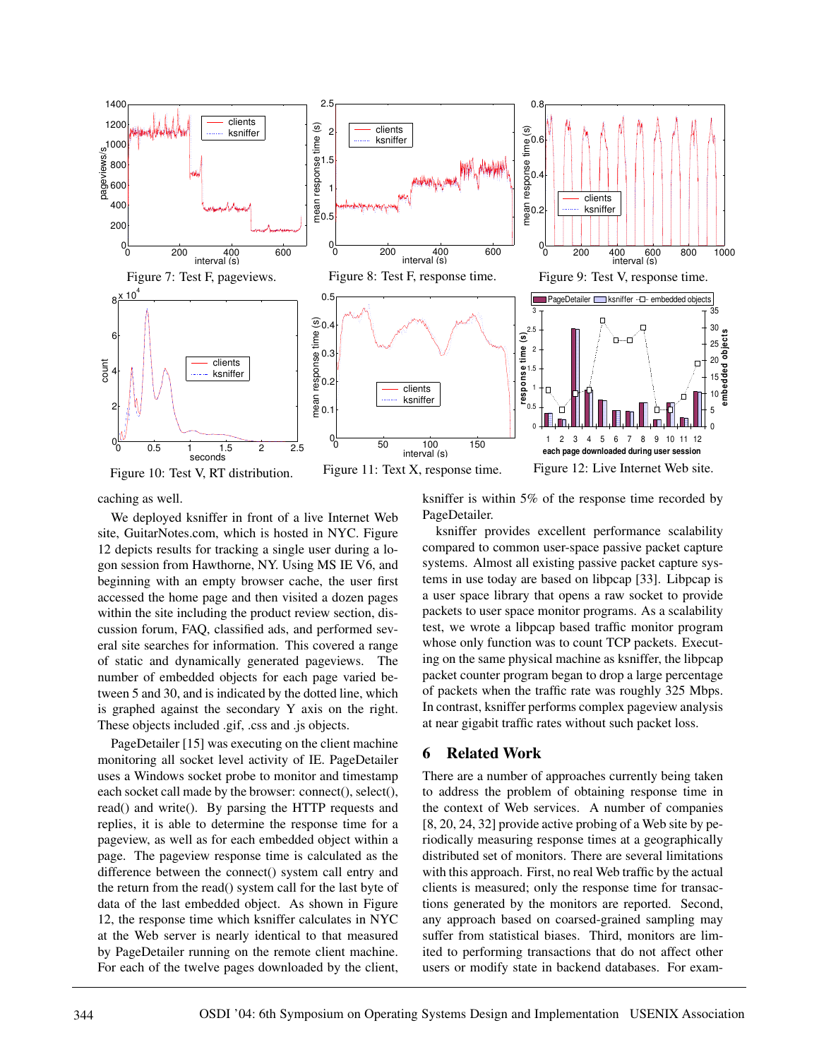

Figure 10: Test V, RT distribution.

Figure 11: Text X, response time.

Figure 12: Live Internet Web site.

caching as well.

We deployed ksniffer in front of a live Internet Web site, GuitarNotes.com, which is hosted in NYC. Figure 12 depicts results for tracking a single user during a logon session from Hawthorne, NY. Using MS IE V6, and beginning with an empty browser cache, the user first accessed the home page and then visited a dozen pages within the site including the product review section, discussion forum, FAQ, classified ads, and performed several site searches for information. This covered a range of static and dynamically generated pageviews. The number of embedded objects for each page varied between 5 and 30, and is indicated by the dotted line, which is graphed against the secondary Y axis on the right. These objects included .gif, .css and .js objects.

PageDetailer [15] was executing on the client machine monitoring all socket level activity of IE. PageDetailer uses a Windows socket probe to monitor and timestamp each socket call made by the browser: connect(), select(), read() and write(). By parsing the HTTP requests and replies, it is able to determine the response time for a pageview, as well as for each embedded object within a page. The pageview response time is calculated as the difference between the connect() system call entry and the return from the read() system call for the last byte of data of the last embedded object. As shown in Figure 12, the response time which ksniffer calculates in NYC at the Web server is nearly identical to that measured by PageDetailer running on the remote client machine. For each of the twelve pages downloaded by the client,

ksniffer is within 5% of the response time recorded by PageDetailer.

ksniffer provides excellent performance scalability compared to common user-space passive packet capture systems. Almost all existing passive packet capture systems in use today are based on libpcap [33]. Libpcap is a user space library that opens a raw socket to provide packets to user space monitor programs. As a scalability test, we wrote a libpcap based traffic monitor program whose only function was to count TCP packets. Executing on the same physical machine as ksniffer, the libpcap packet counter program began to drop a large percentage of packets when the traffic rate was roughly 325 Mbps. In contrast, ksniffer performs complex pageview analysis at near gigabit traffic rates without such packet loss.

# **6 Related Work**

There are a number of approaches currently being taken to address the problem of obtaining response time in the context of Web services. A number of companies [8, 20, 24, 32] provide active probing of a Web site by periodically measuring response times at a geographically distributed set of monitors. There are several limitations with this approach. First, no real Web traffic by the actual clients is measured; only the response time for transactions generated by the monitors are reported. Second, any approach based on coarsed-grained sampling may suffer from statistical biases. Third, monitors are limited to performing transactions that do not affect other users or modify state in backend databases. For exam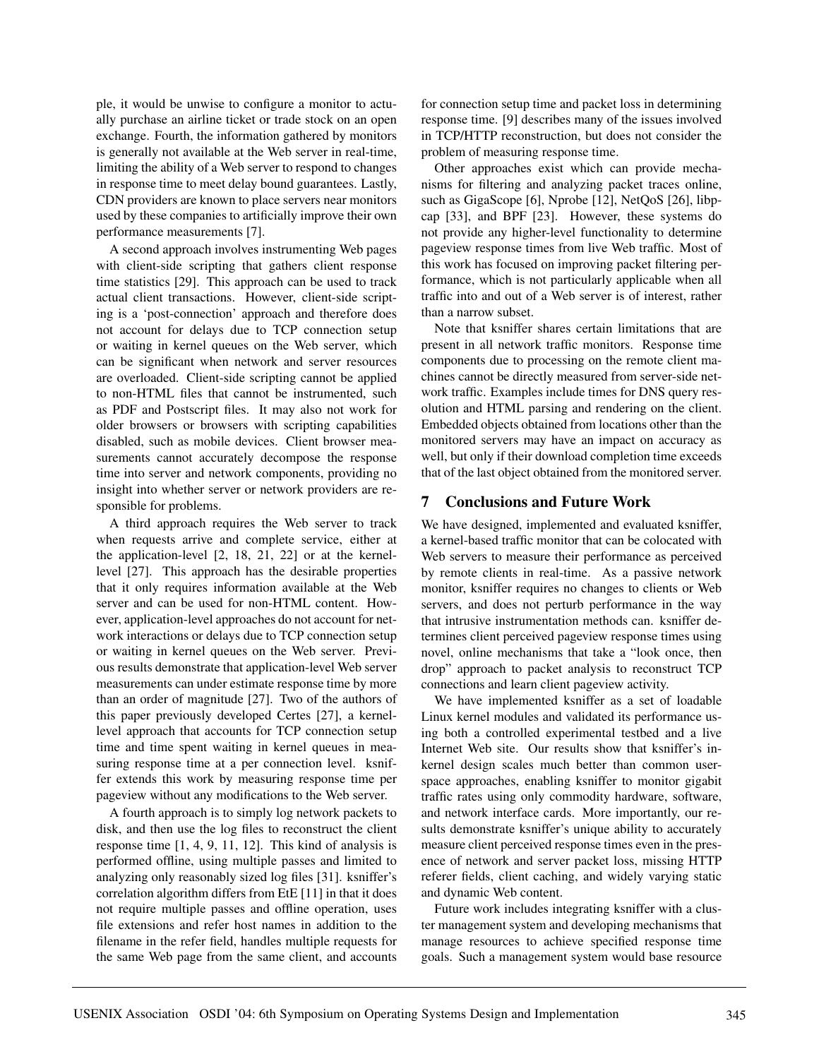ple, it would be unwise to configure a monitor to actually purchase an airline ticket or trade stock on an open exchange. Fourth, the information gathered by monitors is generally not available at the Web server in real-time, limiting the ability of a Web server to respond to changes in response time to meet delay bound guarantees. Lastly, CDN providers are known to place servers near monitors used by these companies to artificially improve their own performance measurements [7].

A second approach involves instrumenting Web pages with client-side scripting that gathers client response time statistics [29]. This approach can be used to track actual client transactions. However, client-side scripting is a 'post-connection' approach and therefore does not account for delays due to TCP connection setup or waiting in kernel queues on the Web server, which can be significant when network and server resources are overloaded. Client-side scripting cannot be applied to non-HTML files that cannot be instrumented, such as PDF and Postscript files. It may also not work for older browsers or browsers with scripting capabilities disabled, such as mobile devices. Client browser measurements cannot accurately decompose the response time into server and network components, providing no insight into whether server or network providers are responsible for problems.

A third approach requires the Web server to track when requests arrive and complete service, either at the application-level [2, 18, 21, 22] or at the kernellevel [27]. This approach has the desirable properties that it only requires information available at the Web server and can be used for non-HTML content. However, application-level approaches do not account for network interactions or delays due to TCP connection setup or waiting in kernel queues on the Web server. Previous results demonstrate that application-level Web server measurements can under estimate response time by more than an order of magnitude [27]. Two of the authors of this paper previously developed Certes [27], a kernellevel approach that accounts for TCP connection setup time and time spent waiting in kernel queues in measuring response time at a per connection level. ksniffer extends this work by measuring response time per pageview without any modifications to the Web server.

A fourth approach is to simply log network packets to disk, and then use the log files to reconstruct the client response time [1, 4, 9, 11, 12]. This kind of analysis is performed offline, using multiple passes and limited to analyzing only reasonably sized log files [31]. ksniffer's correlation algorithm differs from EtE [11] in that it does not require multiple passes and offline operation, uses file extensions and refer host names in addition to the filename in the refer field, handles multiple requests for the same Web page from the same client, and accounts for connection setup time and packet loss in determining response time. [9] describes many of the issues involved in TCP/HTTP reconstruction, but does not consider the problem of measuring response time.

Other approaches exist which can provide mechanisms for filtering and analyzing packet traces online, such as GigaScope [6], Nprobe [12], NetQoS [26], libpcap [33], and BPF [23]. However, these systems do not provide any higher-level functionality to determine pageview response times from live Web traffic. Most of this work has focused on improving packet filtering performance, which is not particularly applicable when all traffic into and out of a Web server is of interest, rather than a narrow subset.

Note that ksniffer shares certain limitations that are present in all network traffic monitors. Response time components due to processing on the remote client machines cannot be directly measured from server-side network traffic. Examples include times for DNS query resolution and HTML parsing and rendering on the client. Embedded objects obtained from locations other than the monitored servers may have an impact on accuracy as well, but only if their download completion time exceeds that of the last object obtained from the monitored server.

#### **7 Conclusions and Future Work**

We have designed, implemented and evaluated ksniffer, a kernel-based traffic monitor that can be colocated with Web servers to measure their performance as perceived by remote clients in real-time. As a passive network monitor, ksniffer requires no changes to clients or Web servers, and does not perturb performance in the way that intrusive instrumentation methods can. ksniffer determines client perceived pageview response times using novel, online mechanisms that take a "look once, then drop" approach to packet analysis to reconstruct TCP connections and learn client pageview activity.

We have implemented ksniffer as a set of loadable Linux kernel modules and validated its performance using both a controlled experimental testbed and a live Internet Web site. Our results show that ksniffer's inkernel design scales much better than common userspace approaches, enabling ksniffer to monitor gigabit traffic rates using only commodity hardware, software, and network interface cards. More importantly, our results demonstrate ksniffer's unique ability to accurately measure client perceived response times even in the presence of network and server packet loss, missing HTTP referer fields, client caching, and widely varying static and dynamic Web content.

Future work includes integrating ksniffer with a cluster management system and developing mechanisms that manage resources to achieve specified response time goals. Such a management system would base resource